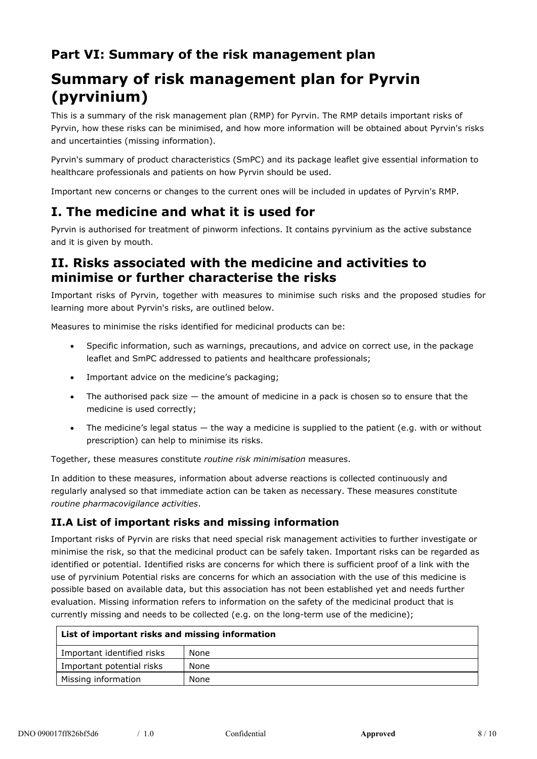## **Part VI: Summary of the risk management plan**

# **Summary of risk management plan for Pyrvin (pyrvinium)**

This is a summary of the risk management plan (RMP) for Pyrvin. The RMP details important risks of Pyrvin, how these risks can be minimised, and how more information will be obtained about Pyrvin's risks and uncertainties (missing information).

Pyrvin's summary of product characteristics (SmPC) and its package leaflet give essential information to healthcare professionals and patients on how Pyrvin should be used.

Important new concerns or changes to the current ones will be included in updates of Pyrvin's RMP.

# **I. The medicine and what it is used for**

Pyrvin is authorised for treatment of pinworm infections. It contains pyrvinium as the active substance and it is given by mouth.

### **II. Risks associated with the medicine and activities to minimise or further characterise the risks**

Important risks of Pyrvin, together with measures to minimise such risks and the proposed studies for learning more about Pyrvin's risks, are outlined below.

Measures to minimise the risks identified for medicinal products can be:

- Specific information, such as warnings, precautions, and advice on correct use, in the package leaflet and SmPC addressed to patients and healthcare professionals;
- Important advice on the medicine's packaging;
- The authorised pack size  $-$  the amount of medicine in a pack is chosen so to ensure that the medicine is used correctly;
- $\bullet$  The medicine's legal status  $-$  the way a medicine is supplied to the patient (e.g. with or without prescription) can help to minimise its risks.

Together, these measures constitute *routine risk minimisation* measures.

In addition to these measures, information about adverse reactions is collected continuously and regularly analysed so that immediate action can be taken as necessary. These measures constitute *routine pharmacovigilance activities*.

#### **II.A List of important risks and missing information**

Important risks of Pyrvin are risks that need special risk management activities to further investigate or minimise the risk, so that the medicinal product can be safely taken. Important risks can be regarded as identified or potential. Identified risks are concerns for which there is sufficient proof of a link with the use of pyrvinium Potential risks are concerns for which an association with the use of this medicine is possible based on available data, but this association has not been established yet and needs further evaluation. Missing information refers to information on the safety of the medicinal product that is currently missing and needs to be collected (e.g. on the long-term use of the medicine);

| List of important risks and missing information |      |
|-------------------------------------------------|------|
| Important identified risks                      | None |
| Important potential risks                       | None |
| Missing information                             | None |